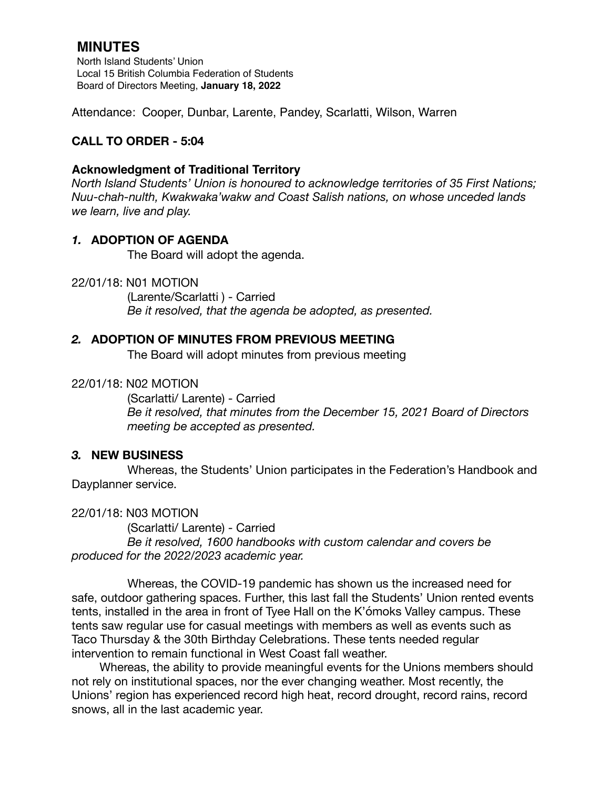# **MINUTES**

North Island Students' Union Local 15 British Columbia Federation of Students Board of Directors Meeting, **January 18, 2022**

Attendance: Cooper, Dunbar, Larente, Pandey, Scarlatti, Wilson, Warren

# **CALL TO ORDER - 5:04**

## **Acknowledgment of Traditional Territory**

*North Island Students' Union is honoured to acknowledge territories of 35 First Nations; Nuu-chah-nulth, Kwakwaka'wakw and Coast Salish nations, on whose unceded lands we learn, live and play.*

# *1.* **ADOPTION OF AGENDA**

The Board will adopt the agenda.

22/01/18: N01 MOTION

 (Larente/Scarlatti ) - Carried *Be it resolved, that the agenda be adopted, as presented.* 

# *2.* **ADOPTION OF MINUTES FROM PREVIOUS MEETING**

The Board will adopt minutes from previous meeting

## 22/01/18: N02 MOTION

(Scarlatti/ Larente) - Carried *Be it resolved, that minutes from the December 15, 2021 Board of Directors meeting be accepted as presented.* 

#### *3.* **NEW BUSINESS**

Whereas, the Students' Union participates in the Federation's Handbook and Dayplanner service.

#### 22/01/18: N03 MOTION

(Scarlatti/ Larente) - Carried *Be it resolved, 1600 handbooks with custom calendar and covers be produced for the 2022/2023 academic year.* 

 Whereas, the COVID-19 pandemic has shown us the increased need for safe, outdoor gathering spaces. Further, this last fall the Students' Union rented events tents, installed in the area in front of Tyee Hall on the K'ómoks Valley campus. These tents saw regular use for casual meetings with members as well as events such as Taco Thursday & the 30th Birthday Celebrations. These tents needed regular intervention to remain functional in West Coast fall weather.

Whereas, the ability to provide meaningful events for the Unions members should not rely on institutional spaces, nor the ever changing weather. Most recently, the Unions' region has experienced record high heat, record drought, record rains, record snows, all in the last academic year.